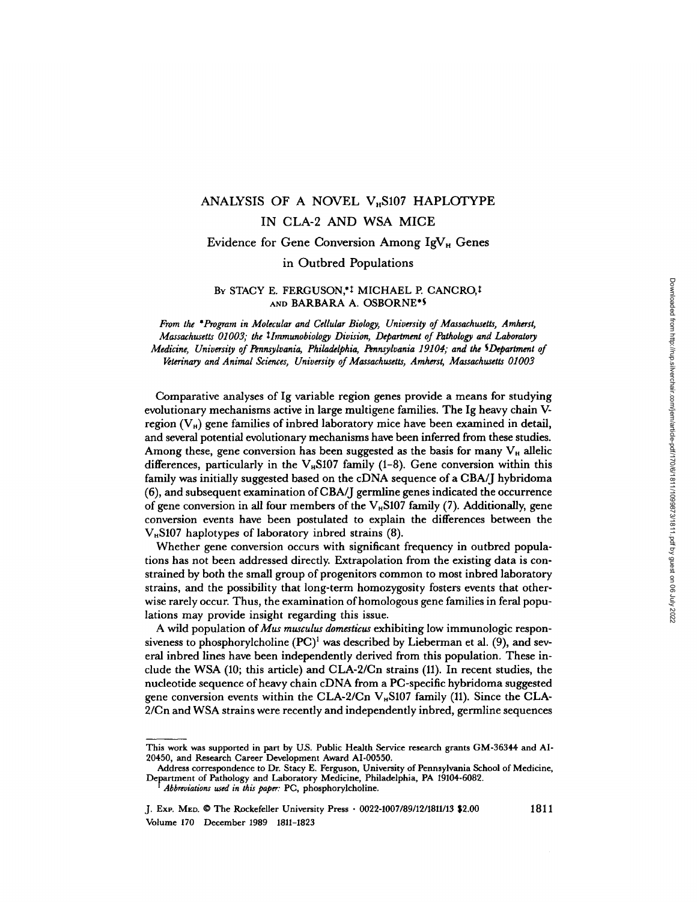# ANALYSIS OF A NOVEL  $V<sub>H</sub>$ S107 HAPLOTYPE IN CLA-2 AND WSA MICE

## Evidence for Gene Conversion Among  $IgV_H$  Genes

## in Outbred Populations

## BY STACY E. FERGUSON,<sup>\*1</sup> MICHAEL P. CANCRO,<sup>1</sup> AND BARBARA A. OSBORNE'S

From the \*Program in Molecular and Cellular Biology, University of Massachusetts, Amherst, Massachusetts 01003; the tlmmunobiology Division, Department of Pathology and Laboratory Medicine, University of Pennsylvania, Philadelphia, Pennsylvania 19104; and the SDepartment of Veterinary and Animal Sciences, University of Massachusetts, Amherst, Massachusetts 01003

Comparative analyses of Ig variable region genes provide a means for studying evolutionary mechanisms active in large multigene families . The Ig heavy chain Vregion  $(V_H)$  gene families of inbred laboratory mice have been examined in detail, and several potential evolutionary mechanisms have been inferred from these studies. Among these, gene conversion has been suggested as the basis for many  $V_H$  allelic differences, particularly in the V<sub>H</sub>S107 family (1-8). Gene conversion within this family was initially suggested based on the cDNA sequence of a CBA/J hybridoma (6), and subsequent examination of CBA/J germline genes indicated the occurrence of gene conversion in all four members of the V<sub>H</sub>S107 family (7). Additionally, gene conversion events have been postulated to explain the differences between the  $V_{\text{H}}$ S107 haplotypes of laboratory inbred strains (8).

Whether gene conversion occurs with significant frequency in outbred populations has not been addressed directly. Extrapolation from the existing data is constrained by both the small group of progenitors common to most inbred laboratory strains, and the possibility that long-term homozygosity fosters events that otherwise rarely occur. Thus, the examination of homologous gene families in feral populations may provide insight regarding this issue.

A wild population of Mus musculus domesticus exhibiting low immunologic responsiveness to phosphorylcholine  $(PC)^1$  was described by Lieberman et al. (9), and several inbred lines have been independently derived from this population . These include the WSA (10; this article) and CLA-2/Cn strains (11) . In recent studies, the nucleotide sequence of heavy chain cDNA from a PC-specific hybridoma suggested gene conversion events within the CLA-2/Cn  $V_H$ S107 family (11). Since the CLA-2/Cn and WSA strains were recently and independently inbred, germline sequences

This work was supported in part by US. Public Health Service research grants GM-36344 and Al-20450, and Research Career Development Award Al-00550.

Address correspondence to Dr. Stacy E. Ferguson, University of Pennsylvania School of Medicine, Department of Pathology and Laboratory Medicine, Philadelphia, PA 19104-6082 .

Abbreviations used in this paper: PC, phosphorylcholine.

J. Exp. Men. ® The Rockefeller University Press - 0022-1007/89/12/1811/13 \$2 .00 <sup>1811</sup> Volume 170 December 1989 1811-1823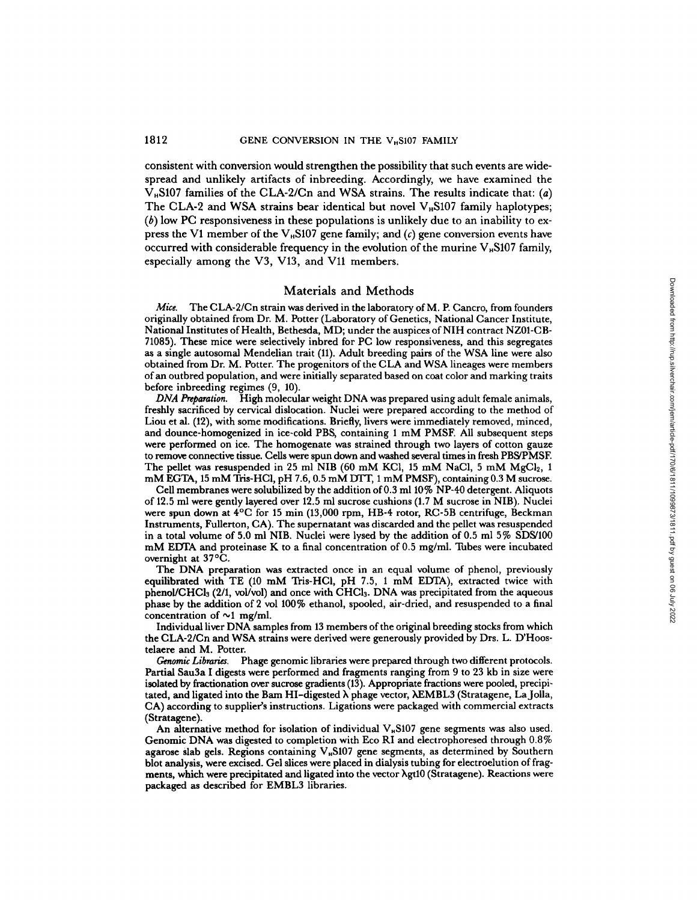## 1812 **GENE CONVERSION IN THE V<sub>H</sub>S107 FAMILY**

consistent with conversion would strengthen the possibility that such events are wide-<br>spread and unlikely artifacts of inbreeding. Accordingly, we have examined the  $V<sub>H</sub>$ S107 families of the CLA-2/Cn and WSA strains. The results indicate that: (a) The CLA-2 and WSA strains bear identical but novel  $V_{\text{H}}$ S107 family haplotypes;  $(b)$  low PC responsiveness in these populations is unlikely due to an inability to express the V1 member of the V<sub><sup>B</sub>S107</sup> gene family; and (c) gene conversion events have</sub> occurred with considerable frequency in the evolution of the murine  $V_{\text{H}}$ S107 family, especially among the V3, V13, and Vll members.

#### Materials and Methods

Mice. The CLA-2/Cn strain was derived in the laboratory of M. P. Cancro, from founders<br>iginally obtained from Dr. M. Potter (Lobomtony of Constitute Mational Cancer Institute originally obtained from Dr. M. Potter (Laboratory of Genetics, National Cancer Institute, National Institutes of Health, Bethesda, MD; under the auspices of NIH contract NZ01-CB-71085). These mice were selectively inbred for PC low responsiveness, and this segregates as a single autosomal Mendelian trait (11) . Adult breeding pairs of the WSA line were also obtained from Dr. M. Potter. The progenitors of the CLA and WSA lineages were members ofan outbred population, and were initially separated based on coat color and marking traits before inbreeding regimes  $(9, 10)$ . Mete. The CLA-2/Co main was tracted as in Methods<br>
National Institutes for EMBLS libraries . All Potent (Advantor Methods National Contract Issue (Secret)<br>
National Institutes of Helab, Bethesia, MD; under the samples of

DNA Preparation. High molecular weight DNA was prepared using adult female animals, freshly sacrificed by cervical dislocation . Nuclei were prepared according to the method of Liou et al. (12), with some modifications. Briefly, livers were immediately removed, minced, and dounce-homogenized in ice-cold PBS, containing <sup>1</sup> mM PMSF. All subsequent steps were performed on ice. The homogenate was strained through two layers of cotton gauze to remove connective tissue. Cells were spun down andwashed several times in fresh PBS/PMSE The pellet was resuspended in 25 ml NIB (60 mM KCl, 15 mM NaCl, 5 mM MgCl<sub>2</sub>, 1<br>
2 MM ReCTA 15 mM This UCl a U.7 6 0.5 mM NTT 1 mM NACl, 5 mM MgCl<sub>2</sub>, 1 mM EGTA, 15 mM Tris-HCl, pH 7.6, 0.5 mM DTT, 1 mM PMSF), containing 0.3 M sucrose.

Cell membranes were solubilized by the addition of 0.3 ml 10% NP-40 detergent. Aliquots of 12.5 ml were gently layered over 12.5 ml successions (1.7 M succession: 1 in quote<br>of 12.5 ml sucrose cushions (1.7 M sucrose cushions (1.7 M sucrose in NIB). Nuclei were spun down at  $4^{\circ}$ C for 15 min (13,000 rpm, HB-4 rotor, RC-5B centrifuge, Beckman Instruments, Fullerton, CA). The supernatant was discarded and the pellet was resuspended in a total volume of 5.0 ml NIB. Nuclei were lysed by the addition of  $0.5$  ml 5% SDS/100 mM EDTA and proteinase K to a final concentration of 0.5 mg/ml. Tubes were incubated overnight at 37 ° C .

The DNA preparation was extracted once in an equal volume of phenol, previously equilibrated with TE (10 mM Tris-HCl, pH 7.5, 1 mM EDTA), extracted twice with phenol/CHC13 (2/1, vol/vol) and once with CHC13 . DNA was precipitated from the aqueous phase by the addition of <sup>2</sup> vol 100% ethanol, spooled, air-dried, and resuspended to a final concentration of  $\sim$ 1 mg/ml.

Individual liver DNA samples from <sup>13</sup> members ofthe original breeding stocks from which the CLA-2/Cn and WSA strains were derived were generously provided by Drs. L. <sup>D</sup>'Hoostelaere and M. Potter.

Genomic Libraries. Phage genomic libraries were prepared through two different protocols. Partial Sau3a <sup>I</sup> digests were performed and fragments ranging from 9 to 23 kb in size were isolated by fractionation over sucrose gradients (13). Appropriate fractions were pooled, precipitated, and ligated into the Bam HI-digested X phage vector, XEMBL3 (Stratagene, LaJolla, CA) according to supplier's instructions . Ligations were packaged with commercial extracts (Stratagene).

An alternative method for isolation of individual  $V_{\mu}$ S107 gene segments was also used. Genomic DNA was digested to completion with Eco RI and electrophoresed through 0.8% agarose slab gels. Regions containing V<sub>B107</sub> gene segments, as determined by Southern blot analysis, were excised. Gel slices were placed in dialysis tubing for electroelution of fragments, which were precipitated and ligated into the vector  $\lambda$ gt10 (Stratagene). Reactions were packaged as described for EMBL3 libraries.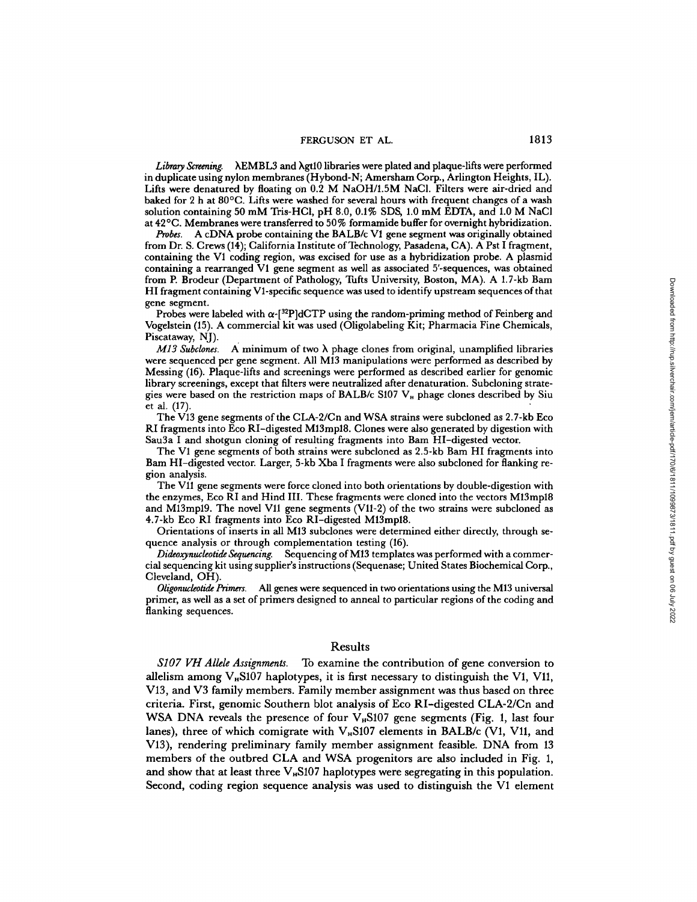Library Screening.  $\Lambda$ EMBL3 and  $\lambda$ gt10 libraries were plated and plaque-lifts were performed in duplicate using nylon membranes (Hybond-N; Amersham Corp., Arlington Heights, IL) . Lifts were denatured by floating on 0.2 M NaOH/1.5M NaCl. Filters were air-dried and<br>heled for 0 h at 900C. Lifts was worked for sumple have with frequent shapes of s work baked for 2 h at 80<sup>o</sup>C. Lifts were washed for several hours with frequent changes of a wash sultion containing 50 mM Tris-HCl, pH 8.0, 0.1% SDS, 1.0 mM EDTA, and 1.0 M NaCl<br>solution containing 50 mM Tris-HCl, pH 8.0, 0.1% SDS, 1.0 mM EDTA, and 1.0 M NaCl at 42 ° C. Membranes were transferred to 50% formamide buffer for overnight hybridization.

Probes. A cDNA probe containing the BALB/c V1 gene segment was originally obtained from Dr. S. Crews (14); California Institute of Technology, Pasadena, CA). A Pst I fragment, containing the VI coding region, was excised for use as <sup>a</sup> hybridization probe. A plasmid containing <sup>a</sup> rearranged VI gene segment as well as associated <sup>5</sup>'-sequences, was obtained from P. Brodeur (Department of Pathology, Tufts University, Boston, MA). A 1.7-kb Bam HI fragment containing VI-specific sequence was used to identify upstream sequences ofthat gene segment.

Probes were labeled with  $\alpha$ -[<sup>32</sup>P]dCTP using the random-priming method of Feinberg and Vogelstein (15) . A commercial kit was used (Oligolabeling Kit ; Pharmacia Fine Chemicals, Piscataway, NJ).<br>*M13 Subclones.* 

 $M13$  Subclones. A minimum of two  $\lambda$  phage clones from original, unamplified libraries were sequenced per gene segment. All M13 manipulations were performed as described by Messing (16) . Plaque-lifts and screenings were performed as described earlier for genomic library screenings, except that filters were neutralized after denaturation . Subcloning strategies were based on the restriction maps of BALB/c S107  $V_n$  phage clones described by Siu et al. (17). et al.  $(17)$ .

The V13 gene segments of the CLA-2/Cn and WSA strains were subcloned as <sup>2</sup> .7-kb Eco RI fragments into Eco RI-digested M13mp18. Clones were also generated by digestion with Sau3a <sup>I</sup> and shotgun cloning of resulting fragments into Bam HI-digested vector.

The VI gene segments of both strains were subcloned as 2.5-kb Barn HI fragments into Barn HI-digested vector. Larger, 5-kb Xba <sup>I</sup> fragments were also subcloned for flanking region analysis.

The V11 gene segments were force cloned into both orientations by double-digestion with the enzymes, Eco RI and Hind III . These fragments were cloned into the vectors M13mp18 and M13mp19. The novel Vll gene segments (VII-2) of the two strains were subcloned as 4.7-kb Eco RI fragments into Eco RI-digested M13mp18.

Orientations of inserts in all M13 subclones were determined either directly, through sequence analysis or through complementation testing (16).

Dideoxynucleotide Sequencing. Sequencing of M13 templates was performed with a commercial sequencing kit using supplier's instructions (Sequenase; United States Biochemical Corp., Cleveland, OH).

Oligonucleotide Primers. All genes were sequenced in two orientations using the M13 universal primer, as well as a set of primers designed to anneal to particular regions of the coding and flanking sequences.

#### Results

S107 VH Allele Assignments. To examine the contribution of gene conversion to allelism among  $V_{\rm B}$ S107 haplotypes, it is first necessary to distinguish the V1, V11, V13, and V3 family members. Family member assignment was thus based on three criteria . First, genomic Southern blot analysis of Eco RI-digested CLA-2/Cn and WSA DNA reveals the presence of four  $V_{\rm B}$ S107 gene segments (Fig. 1, last four lanes), three of which comigrate with  $V_{\rm H}$ S107 elements in BALB/c (V1, V11, and V13), rendering preliminary family member assignment feasible. DNA from <sup>13</sup> members of the outbred CLA and WSA progenitors are also included in Fig. 1, and show that at least three  $V_{\rm B}$ S107 haplotypes were segregating in this population. Second, coding region sequence analysis was used to distinguish the VI element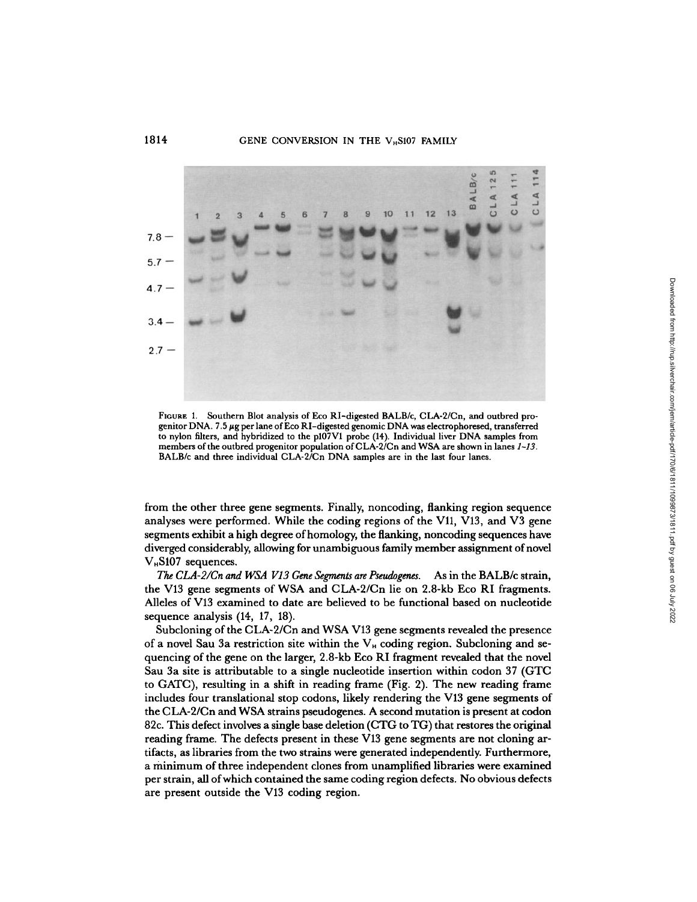### 1814 GENE CONVERSION IN THE V<sub>H</sub>S107 FAMILY



FIGURE 1. Southern Blot analysis of Eco RI-digested BALB/c, CLA-2/Cn, and outbred progenitor DNA. 7.5  $\mu$ g per lane of Eco RI-digested genomic DNA was electrophoresed, transferred to nylon filters, and hybridized to the p107V1 probe (14). Individual liver DNA samples from members of the outbred progenitor population of  $CLA-2/Cn$  and WSA are shown in lanes  $1-13$ .<br>BALB/c and three individual CLA-2/Cn DNA samples are in the last four lanes.

from the other three gene segments. Finally, noncoding, flanking region sequence analyses were performed. While the coding regions of the V11, V13, and V3 gene segments exhibit ahigh degree ofhomology, the flanking, noncoding sequences have diverged considerably, allowing for unambiguous family member assignment of novel  $V_{\rm H}$ S107 sequences.

The CLA-2/Cn and WSA V13 Gene Segments are Pseudogenes. As in the BALB/c strain, the V13 gene segments of WSA and CLA-2/Cn lie on 2.8-kb Eco RI fragments. Alleles of V13 examined to date are believed to be functional based on nucleotide sequence analysis (14, 17, 18).

Subcloning of the CLA-2/Cn and WSAV13 gene segments revealed the presence of a novel Sau 3a restriction site within the  $V_H$  coding region. Subcloning and sequencing of the gene on the larger, 2.8-kb Eco RI fragment revealed that the novel Sau 3a site is attributable to a single nucleotide insertion within codon <sup>37</sup> (GTC to GATC), resulting in a shift in reading frame (Fig . 2) . The new reading frame includes four translational stop codons, likely rendering the V13 gene segments of the CLA-2/Cn and WSA strains pseudogenes. A second mutation is present at codon 82c. This defect involves asingle base deletion (CTG to TG) that restores the original reading frame. The defects present in these V13 gene segments are not cloning artifacts, as libraries from the two strains were generated independently. Furthermore, a minimum of three independent clones from unamplified libraries were examined per strain, all ofwhich contained the same coding region defects. No obvious defects are present outside the V13 coding region.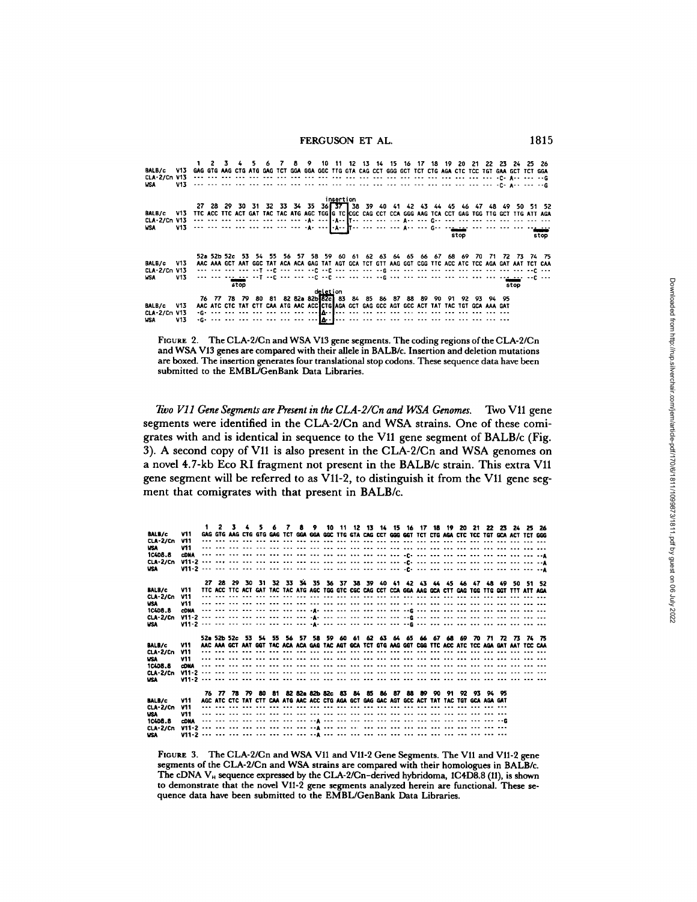| BALB/c V13 GAG GTG AAG CTG ATG GAG TCT GGA GGA GGC TTG GTA CAG CCT GGG GCT TCT CTG AGA CTC TCC TGT GAA GCT TCT GGA<br>CLA-2/Cn V13<br><b>USA</b> | V13                                                                                                                                                                                                                                 |                                                                                                          |  | 45<br>the six and the the six and the six and the the six and the the the six and his codicion of the government.                                                                                                                                                                                                                                                                                     |  |  |          |           |  |  | 6 7 8 9 10 11 12 13 14 15 16 17 18 19 20 21 22 23 24 25 26 |  |      |  |      |                                                                                                                                                                                             |
|--------------------------------------------------------------------------------------------------------------------------------------------------|-------------------------------------------------------------------------------------------------------------------------------------------------------------------------------------------------------------------------------------|----------------------------------------------------------------------------------------------------------|--|-------------------------------------------------------------------------------------------------------------------------------------------------------------------------------------------------------------------------------------------------------------------------------------------------------------------------------------------------------------------------------------------------------|--|--|----------|-----------|--|--|------------------------------------------------------------|--|------|--|------|---------------------------------------------------------------------------------------------------------------------------------------------------------------------------------------------|
| <b>BALB/c</b><br><b>WSA</b>                                                                                                                      | V13<br>are the second control of the control of the control of the control of the control of the control of the control of the control of the control of the control of the control of the control of the control of the control of | TTC ACC TTC ACT GAT TAC TAC ATG AGC TGG G TC CGC CAG CCT CCA GGG AAG TCA CCT GAG TGG TTG GCT TTG ATT AGA |  |                                                                                                                                                                                                                                                                                                                                                                                                       |  |  |          | insertion |  |  |                                                            |  | stop |  |      | 27 28 29 30 31 32 33 34 35 36 37 38 39 40 41 42 43 44 45 46 47 48 49 50 51 52<br>stop                                                                                                       |
| BALB/c V13<br>CLA-2/Cn V13<br><b>USA</b>                                                                                                         | V13                                                                                                                                                                                                                                 |                                                                                                          |  | and the see and skilled and see and skill and and and skilled see and and and and and and and and anglesk.<br>the service in the service of the service of the service of the service service service service in the service<br>stop                                                                                                                                                                  |  |  |          |           |  |  |                                                            |  |      |  | stop | 52a 52b 52c 53 54 55 56 57 58 59 60 61 62 63 64 65 66 67 68 69 70 71 72 73 74 75<br>AAC AAA GCT AAT GGC TAT ACA ACA GAG TAT AGT GCA TCT GTT AAG GGT CGG TTC ACC ATC TCC AGA GAT AAT TCT CAA |
| BALB/c V13<br>$CLA-2/cn$ V13<br><b>WSA</b>                                                                                                       | V13                                                                                                                                                                                                                                 |                                                                                                          |  | 76 77 78 79 80 81 82 82a 82b 82c 83 84 85 86 87 88 89 90 91 92 93 94 95<br>AAC ATC CTC TAT CTT CAA ATG AAC ACC CTG AGA GCT GAG GCC AGT GCC ACT TAT TAC TGT GCA AAA GAT<br>iga and not be a best one one one comp <mark>a</mark> nd one one can be a best one one one one one one can be<br>against the the theoretical and the conditional production and the theoretic condition and the theoretical |  |  | deletion |           |  |  |                                                            |  |      |  |      |                                                                                                                                                                                             |

FIGURE 2. The CLA-2/Cn and WSA V13 gene segments. The coding regions of the CLA-2/Cn and WSAV13 genes are compared with their allele in BALB/c. Insertion and deletion mutations are boxed. The insertion generates four translational stop codons . These sequence data have been submitted to the EMBL/GenBank Data Libraries.

Two V11 Gene Segments are Present in the CLA-2/Cn and WSA Genomes. Two V11 gene segments were identified in the CLA-2/Cn and WSA strains. One of these comigrates with and is identical in sequence to the V11 gene segment of BALB/c (Fig. 3) . A second copy of V11 is also present in the CLA-2/Cn and WSA genomes on a novel 4.7-kb Eco RI fragment not present in the BALB/c strain . This extra V11 gene segment will be referred to as V11-2, to distinguish it from the V11 gene segment that comigrates with that present in BALB/c.

| BALB/c                        | V11                                                                                                                                                                                                                                                                                                                                                                                                                                               |  |  |  |  |  |  |  |  |  |  |  |  | 2 3 4 5 6 7 8 9 10 11 12 13 14 15 16 17 18 19 20 21 22 23 24 25 26<br>GAG GTG AAG CTG GTG GAG TCT GGA GGA GGC TTG GTA CAG CCT GGG GGT TCT CTG AGA CTC TCC TGT GCA ACT TCT GGG               |  |  |  |  |  |
|-------------------------------|---------------------------------------------------------------------------------------------------------------------------------------------------------------------------------------------------------------------------------------------------------------------------------------------------------------------------------------------------------------------------------------------------------------------------------------------------|--|--|--|--|--|--|--|--|--|--|--|--|---------------------------------------------------------------------------------------------------------------------------------------------------------------------------------------------|--|--|--|--|--|
| <b>CLA-2/Cn</b>               | V11                                                                                                                                                                                                                                                                                                                                                                                                                                               |  |  |  |  |  |  |  |  |  |  |  |  |                                                                                                                                                                                             |  |  |  |  |  |
| WSA.                          | V11                                                                                                                                                                                                                                                                                                                                                                                                                                               |  |  |  |  |  |  |  |  |  |  |  |  |                                                                                                                                                                                             |  |  |  |  |  |
| <b>1C4DB.B</b>                | <b>CDNA</b>                                                                                                                                                                                                                                                                                                                                                                                                                                       |  |  |  |  |  |  |  |  |  |  |  |  | the six the the time off the six the time off the time time and time offer the six time off the six time and time                                                                           |  |  |  |  |  |
| $CLA-2/Ch$                    |                                                                                                                                                                                                                                                                                                                                                                                                                                                   |  |  |  |  |  |  |  |  |  |  |  |  |                                                                                                                                                                                             |  |  |  |  |  |
| <b>USA</b>                    |                                                                                                                                                                                                                                                                                                                                                                                                                                                   |  |  |  |  |  |  |  |  |  |  |  |  |                                                                                                                                                                                             |  |  |  |  |  |
|                               |                                                                                                                                                                                                                                                                                                                                                                                                                                                   |  |  |  |  |  |  |  |  |  |  |  |  |                                                                                                                                                                                             |  |  |  |  |  |
| BALB/c                        | V11                                                                                                                                                                                                                                                                                                                                                                                                                                               |  |  |  |  |  |  |  |  |  |  |  |  | 27 28 29 30 31 32 33 34 35 36 37 38 39 40 41 42 43 44 45 46 47 48 49 50 51 52<br>TTC ACC TTC ACT GAT TAC TAC ATG AGC TGG GTC CGC CAG CCT CCA GGA AAG GCA CTT GAG TGG TTG GGT TTT ATT AGA    |  |  |  |  |  |
| CLA-2/Cn                      | V11                                                                                                                                                                                                                                                                                                                                                                                                                                               |  |  |  |  |  |  |  |  |  |  |  |  |                                                                                                                                                                                             |  |  |  |  |  |
| <b>USA</b>                    | V11                                                                                                                                                                                                                                                                                                                                                                                                                                               |  |  |  |  |  |  |  |  |  |  |  |  |                                                                                                                                                                                             |  |  |  |  |  |
| 10408.8                       | <b>CDNA</b>                                                                                                                                                                                                                                                                                                                                                                                                                                       |  |  |  |  |  |  |  |  |  |  |  |  | the see the section that the control and the control the section and segments the control and section and the                                                                               |  |  |  |  |  |
| $CLA-2/Ch$                    |                                                                                                                                                                                                                                                                                                                                                                                                                                                   |  |  |  |  |  |  |  |  |  |  |  |  |                                                                                                                                                                                             |  |  |  |  |  |
| <b>USA</b>                    |                                                                                                                                                                                                                                                                                                                                                                                                                                                   |  |  |  |  |  |  |  |  |  |  |  |  |                                                                                                                                                                                             |  |  |  |  |  |
|                               |                                                                                                                                                                                                                                                                                                                                                                                                                                                   |  |  |  |  |  |  |  |  |  |  |  |  |                                                                                                                                                                                             |  |  |  |  |  |
|                               |                                                                                                                                                                                                                                                                                                                                                                                                                                                   |  |  |  |  |  |  |  |  |  |  |  |  | 52a 52b 52c 53 54 55 56 57 58 59 60 61 62 63 64 65 66 67 68 69 70 71 72 73 74 75<br>AAC AAA GCT AAT GGT TAC ACA ACA GAG TAC AGT GCA TCT GTG AAG GGT CGG TTC ACC ATC TCC AGA GAT AAT TCC CAA |  |  |  |  |  |
| <b>BALB/c</b><br>$CLA-2/Ch$   | <b>V11</b><br>V11                                                                                                                                                                                                                                                                                                                                                                                                                                 |  |  |  |  |  |  |  |  |  |  |  |  |                                                                                                                                                                                             |  |  |  |  |  |
| <b>USA</b>                    | <b>V11</b>                                                                                                                                                                                                                                                                                                                                                                                                                                        |  |  |  |  |  |  |  |  |  |  |  |  |                                                                                                                                                                                             |  |  |  |  |  |
| <b>10408.8</b>                | <b>CDNA</b>                                                                                                                                                                                                                                                                                                                                                                                                                                       |  |  |  |  |  |  |  |  |  |  |  |  |                                                                                                                                                                                             |  |  |  |  |  |
| $CLA-2/Ch$                    | $V11 - 2$                                                                                                                                                                                                                                                                                                                                                                                                                                         |  |  |  |  |  |  |  |  |  |  |  |  |                                                                                                                                                                                             |  |  |  |  |  |
| <b>USA</b>                    |                                                                                                                                                                                                                                                                                                                                                                                                                                                   |  |  |  |  |  |  |  |  |  |  |  |  |                                                                                                                                                                                             |  |  |  |  |  |
|                               |                                                                                                                                                                                                                                                                                                                                                                                                                                                   |  |  |  |  |  |  |  |  |  |  |  |  |                                                                                                                                                                                             |  |  |  |  |  |
|                               |                                                                                                                                                                                                                                                                                                                                                                                                                                                   |  |  |  |  |  |  |  |  |  |  |  |  | 76 77 78 79 80 81 82 82a 82b 82c 83 84 85 86 87 88 89 90 91 92 93 94 95                                                                                                                     |  |  |  |  |  |
| <b>BALB/c</b>                 | V11                                                                                                                                                                                                                                                                                                                                                                                                                                               |  |  |  |  |  |  |  |  |  |  |  |  | AGC ATC CTC TAT CTT CAA ATG AAC ACC CTG AGA GCT GAG GAC AGT GCC ACT TAT TAC TGT GCA AGA GAT<br>                                                                                             |  |  |  |  |  |
| <b>CLA-2/Cn</b><br><b>USA</b> | V11<br>V11                                                                                                                                                                                                                                                                                                                                                                                                                                        |  |  |  |  |  |  |  |  |  |  |  |  |                                                                                                                                                                                             |  |  |  |  |  |
| 1C4D8.8                       | <b>CDNA</b>                                                                                                                                                                                                                                                                                                                                                                                                                                       |  |  |  |  |  |  |  |  |  |  |  |  | the company and the company of the company of the company of the company of the company of the company of the                                                                               |  |  |  |  |  |
| $CLA-2/Ch$                    |                                                                                                                                                                                                                                                                                                                                                                                                                                                   |  |  |  |  |  |  |  |  |  |  |  |  |                                                                                                                                                                                             |  |  |  |  |  |
| USA.                          |                                                                                                                                                                                                                                                                                                                                                                                                                                                   |  |  |  |  |  |  |  |  |  |  |  |  |                                                                                                                                                                                             |  |  |  |  |  |
|                               | FIGURE 3. The CLA-2/Cn and WSA V11 and V11-2 Gene Segments. The V11 and V11-2 gene<br>segments of the CLA-2/Cn and WSA strains are compared with their homologues in BALB/c.<br>The cDNA $V_H$ sequence expressed by the CLA-2/Cn-derived hybridoma, 1C4D8.8 (11), is shown<br>to demonstrate that the novel V11-2 gene segments analyzed herein are functional. These se-<br>quence data have been submitted to the EMBL/GenBank Data Libraries. |  |  |  |  |  |  |  |  |  |  |  |  |                                                                                                                                                                                             |  |  |  |  |  |
|                               |                                                                                                                                                                                                                                                                                                                                                                                                                                                   |  |  |  |  |  |  |  |  |  |  |  |  |                                                                                                                                                                                             |  |  |  |  |  |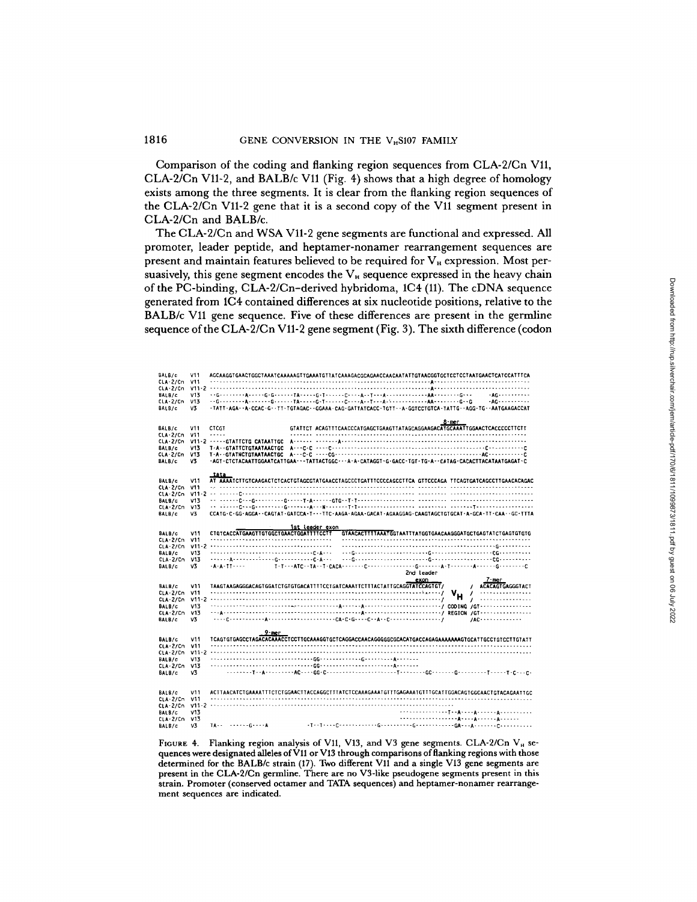#### 181 6 GENE CONVERSION IN THE V<sub>H</sub>S107 FAMILY

Comparison of the coding and flanking region sequences from CLA-2/Cn V11, CLA-2/Cn V11-2, and BALB/c V11 (Fig. 4) shows that a high degree of homology exists among the three segments. It is clear from the flanking region sequences of the CLA-2/Cn V11-2 gene that it is a second copy of the V11 segment present in CLA-2/Cn and BALB/c.

TheCLA-2/Cn and WSA V11-2 gene segments are functional and expressed. All promoter, leader peptide, and heptamer-nonamer rearrangement sequences are present and maintain features believed to be required for V<sub>H</sub> expression. Most persuasively, this gene segment encodes the  $V_H$  sequence expressed in the heavy chain of the PC-binding, CLA-2/Cn-derived hybridoma, 1C4 (11) . The cDNA sequence generated from 1C4 contained differences at six nucleotide positions, relative to the BALB/c V11 gene sequence. Five of these differences are present in the germline sequence ofthe CLA-2/Cn V11-2 gene segment (Fig. 3) . The sixth difference (codon

BALB/c V11 AGCAAGGTGAACTGGCTAAATCAAAAAGTTGAAATGTTATCAAAGACGCAGAACCAACAATATTGTAACGGTGCTCCTCCTAATGAACTCATCCATTTCA CLA-2/Cn <sup>1111</sup> . . . . .- . . . . . . . . . . . . . . . . .- . . . . . . . . . . . . . . . . . . . . . .- . . . . . . . . . . . .- . . . . . . .-A . . . . . . . . . . . . . . . . . . .-- . . . . . . . . CLA-2/Cn V11 . <sup>2</sup> . . . . . . . . . . . . . . . . . . .-- . . . . . . . . . .- . . . . . . . . .- . . . . . . .- . . . . . . .-- . . . . . . .-A . . . . . . . . . .- . . . . . . . . .-------- SAILS/c V13 --G . . . . . . . .A . . . . -G .G------TA-----G .T------C----A- .T---A-------------AA-------- G . . . .AG---- . . . . . . CLA-2/Cn V13 .-G . . . . . . . .A .- . . . . .G . .-- . .TA . . . . .G-T . . . . . .C . . . .A . .T---A-------------AA--------G-G .AG------- . . . BALB/c V3 -TATT-AGA--A-CCAC-G--TT-TGTAGAC--GGAAA-GAG-GATTATCACC-TGTT--A-GGTCCTGTCA-TATTG--AGG-TG--AATGAAGACCAT 8-mer BALB/c V11 CTCGT GTATTCT ACAGTTTCAACCCATGAGCTGAAGTTATAGCAGGAAGACATGCAAATTGGAACTCACCCCCTTCTT CLA-2/Cn V11 ----- . . . . . . . . . . . . . . . . . . . .- . . . . . . . . . . . . . . . . . . . . . . . . . . . . . . . . . . . . . .-- . . . . . . . . . . . CLA-2/Cn V11-2 -----GTATTCTG CATAATTGC A- . . . . . . . . . . . .A . . . . . . . . . . . . . . . . . . . . . . . . . . . . . . . . . . . . . . . . . . . . . . . . . . . . . . . . . BALB/c V13 T-A--GTATTCTGTAATAACTGC A . . . C-C ----C- .- . . . .----- .--------- .------- .----- .----,-- .--C-----------C CLA , 2/Cn V13 T-A--GTATNCTGTAATAACTGC A---C-C .---CG--- .-- .------ .------ .-- .----------------------AC--------- . .C BALB/c V3 -AGT-CTCTACAATTGGAATCATTGAA---TATTACTGGC---A-A-CATAGGT-G-GACC-TGT-TG-A--CATAG-CACACTTACATAATGAGAT-C Lets BALB/c V11 AT AAAATCTTGTCAAGACTCTCACTGTAAGCGTATGAACCTAGCCCTGATTTCCCCAGCCTTCA GTTCCCAGA TTCAGTGATCAGCCTTGAACACAGAC CLA-2/Cn V11 .2 . . . . . . . . C . . . . . . . . . . . . . . . . . . . . . . . . . . . . . . . . . . . . . . . . . . . . . . . . . . . . . . . . . . . . . . . . . . . . . . . . . . . . . . . . . . . . . . . BALB/c V13 .- ------ C- .G--------- G----- T . A------ GTG--T-T------------------ . . . . . . . . . . . . . . . . . . . . . . . . . . . . .- . . . . . CLA -2/Cn V13 . . T . . . . . . . . . T . . . . . . . . .-- . . . . . . . ------ C . . .G--------- <sup>G</sup> . . . . . . . A---N------- .T------------------ ------- BALB/c V3 CCATG-C-GG-AGGA--CAGTAT-GATCCA-T---TTC-AAGA-AGAR-GACAT-AGAAGGAG-CAAGTAGCTGTGCAT-A-GCA-TT-CAA--GC-TTTA 1st leader exon<br>CTGTCACCACTGTGAACTGGTTAAACTGGTTTTCCTT GTAACACTTTTAAATGGTAATTTAGGTGAACAAGGGATGCTGAGTATCTGAGTGTGTG BALB/C V11 CTGTCACCATGAAGTTGTGGCTGAACTGGATTTTCC T GTAACACTTT AAA GTAATTTATGGTGAACAAGGGA7GCTGAGTATCTGAGTG7GTG CLA-2/Cn V11 -------------------------------------- ---------- .-------------------------------- . . . . . . . .- . . . . . . . CL A-2/Cn V11-2 -------------------------------------- . . .- . . . . . . . . . . .- . . . . . . .-- . . . . . . . . . . . . . .- . . . . . .G------- . .- BALB/C V13 ------------------------------- .C .A--- . . .G----------------------- G------------------- CG . . .--- . . . . CLA-2/Cn V13 . . . . . .A-------- :- . . .G----------- C .A . . . . . .G------- .--------------- G------------------- CG--------- GALS/ C V3 -A-A-TT- .- . T .T . . .ATC--TA--T-CACA--- ---C---- .---------- G------- A-T------- A------ G-------- C 2nd leader BALB/c V11 TAAGTAAGAGGGACAGTGGATCTGTGTGACATTTTCCTGATCAAATTCTTTACTATTGCAGGTAT TLCAGTGT/ M-7-/ ACACAGTGAGGGTACT GLA-2/Cn V11 . . . .- . . . . . . . . . . . . . ., .-- . . . . . . . . . . . . . . . . . . . . . . . . . . . . . . . . . . . . . . . . . . . . . . / V / - .- . . . . . .--- . . . . CLA-2/Cn V11-2 . . . .-- . . . . . . .-- . . . . . . .-- . . . . . . . . . . . . . . . .-- . . . . . . . . . . . . . . . . . . . . . . . . . . . . ./ H / . . . .----- . . . .-- . BALB/c V13 .- . . . . . . .--- . . . . . . . .- . . . .-.--- . . . . .--- .A . . . . .-A . . . . . . .-- .- . . . . . .--- . . . ./ CODING /GT- . .- . . . . . . . . . .- . CLA-2/Cn V13 . .-A . . . . .--- . . . . .- . .- . . . . .-- .- . . . . . . .- . . . . . . . . .A . . . . . . . .-- . . . . . . . .-- . . ./ REGION /GT- .------- . . . . . .- BALB/c V3 . . . .C . . . . .---- . .A . . . . . . . . . .- .- . . . . . . .-CA .C .G----C . .A . .C--- . . . . . . . . .- .- ./ /AC- . . . . .- . .- . . . TER TERMINTER TERMIN TERMINTET STATE TERMIN ATT TERMINISTIC TERMINISTIC TERMINISTIC TERMINISTIC TERMINISTIC TERMINISTIC TERMINISTIC TERMINISTIC TERMINISTIC TERMINISTIC TERMINISTIC TERMINISTIC TERMINISTIC TERMINISTIC TERMIN BAILS /C V11 TCAGTGTGAGCCTAGACACAAACCTCCTTGCAAAGGTGCTCAGGACCAACAGGGGGCGCACATGACCAGAGAAAAAAAGTGCATTGCCTGTCCTTGTATT CLA-2/Cn V11 . . . . .- . . . . . . . . . . . . . .-- . . . . . . . . . . . . . . . . . . . . . . . . . . . . . . . . . . . . . . . . . . . . . . . . . . . . . . . . . .- . . . . . . . . . . . . . . . . . . CLA-2/Cn V11-2 . . . .---- . . . . . . . . . . .-- . . . . . . .- . . . . . . . .-- . . . . . .- . .- . . . . .- . . . . . . . . . . .- . . . . . . . .-- . . . . . . . . . . . . . . .- . . . . . BALB/c V13 . .- . . . . . . . . . . . . .-- . . . . .- . .- . . . . .GG-- . . . . . . .-- . .G . . . .- .---A . . . . .- CLA-2/Cn V13 . . .- . . . . .- . . . . . . . . . . . . . .- . . . . . . .GG . . . . . . . .- .- . . . . . .- . . . .A .- . .- . . BALB/c V3 - . . . . . . .T . .A . . . . . . . . .AC-- . .GG-C .- .-- . . . . .-- . . . . . . . .--T . . . . . . . .GC . .- . .--G---------T-----T .C- . .C . BALB/C V11 ACTTAACATCTGAAAATTTCTCTGGAACTTACCAGGCTTTATCTCCAAAGAAATGTTTGAGAAATGTTTGCATTGGACAGTGGCAACTGTACAGAATTGC CLA-2/Cn V11 . . . . . . . . . . . . . . . . . . . . . . . . . . . . . . . . . . . .- . . . . . . . . . . . . . . . . . . . . . . . . . . . . . . . . . . . . . . . . . . . . . . . . . . . . . . . . . .--- CLA-2/Cn V11-2 . . . . . . . . . . . . . . . . . . . . . . . . . . . . . . . . . . . . . .- . . . . . . . . .- . . . . . . .--- . . . . . . . .--- . . . BALB/C V13 ---- .---------- <sup>T</sup> . .A . <sup>C</sup> . . .A------ A---------- - -------- ------ A . . . .A------A . . . . .- LA-2/Cn V13 BALB/c V3 TA-- ------ ILA-2/CD<sub>I</sub>-derived hybridoma, IC4<sup>(11)</sup>. The cDNA sequence<br>contained differences at six material episteric total position relative of the equence<br>quence. Five of these differences are present in the germine<br> $2/Cn$  V11-2 g

FIGURE 4. Flanking region analysis of V11, V13, and V3 gene segments. CLA-2/Cn V<sub>H</sub> sequences were designated alleles of V11 or V13 through comparisons of flanking regions with those determined for the BALB/c strain (17) . Two different Vll and a single V13 gene segments are present in the CLA-2/Cn germline. There are no V3-like pseudogene segments present in this strain. Promoter (conserved octamer and TATA sequences) and heptamer-nonamer rearrangement sequences are indicated.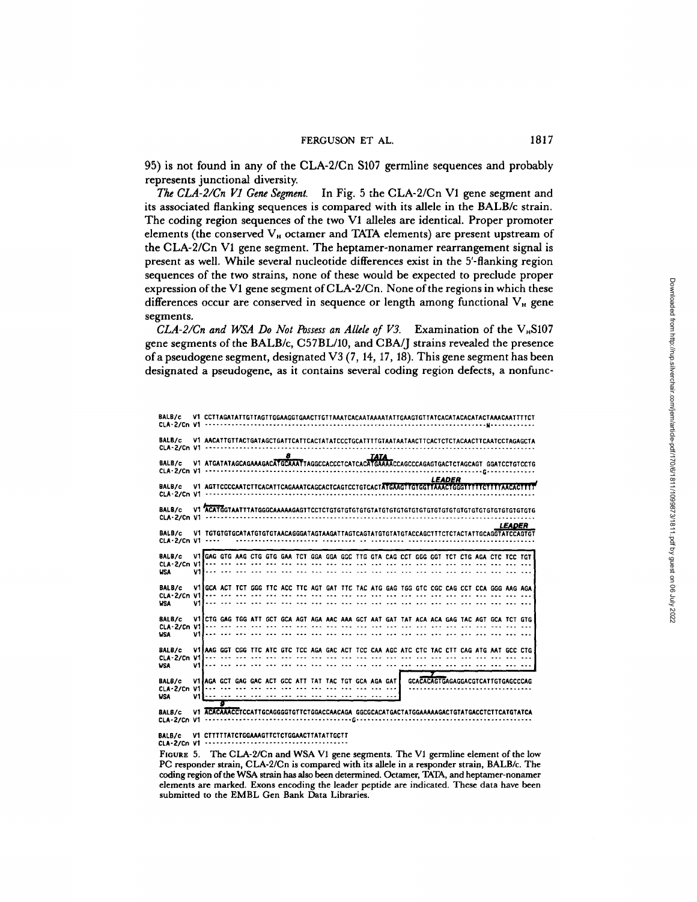95) is not found in any of the CLA-2/Cn S107 germline sequences and probably represents junctional diversity.

The CLA-2/Cn V1 Gene Segment. In Fig. 5 the CLA-2/Cn V1 gene segment and its associated flanking sequences is compared with its allele in the BALB/c strain. The coding region sequences of the two Vl alleles are identical. Proper promoter elements (the conserved V<sub>H</sub> octamer and TATA elements) are present upstream of the CLA-2/Cn VI gene segment. The heptamer-nonamer rearrangement signal is present as well . While several nucleotide differences exist in the 5'-flanking region sequences of the two strains, none of these would be expected to preclude proper expression of the V1 gene segment of CLA-2/Cn. None of the regions in which these differences occur are conserved in sequence or length among functional  $V_{\text{\tiny H}}$  gene segments.

CLA-2/Cn and WSA Do Not Possess an Allele of V3. Examination of the  $V_{H}S107$ gene segments of the BALB/c, C57BL/10, and CBA/J strains revealed the presence of a pseudogene segment, designated V3 (7, 14, 17, 18). This gene segment has been designated a pseudogene, as it contains several coding region defects, a nonfunc-

| BALB/c               |                                                                                                                                                                                                 |   |  |   |  |  |             |  |  |               |  |                                          |                                                                                            |
|----------------------|-------------------------------------------------------------------------------------------------------------------------------------------------------------------------------------------------|---|--|---|--|--|-------------|--|--|---------------|--|------------------------------------------|--------------------------------------------------------------------------------------------|
| BALB/c               |                                                                                                                                                                                                 |   |  | 8 |  |  |             |  |  |               |  |                                          | V1_AACATTGTTACTGATAGCTGATTCATTCACTATATCCCTGCATTTTGTAATAATAACTTCACTCTACAACTTCAATCCTAGAGCTA  |
| BALB/c               |                                                                                                                                                                                                 |   |  |   |  |  | <b>TATA</b> |  |  |               |  |                                          |                                                                                            |
| BALB/c               |                                                                                                                                                                                                 |   |  |   |  |  |             |  |  | <b>LEADER</b> |  |                                          | V1 AGTTCCCCAATCTTCACATTCAGAAATCAGCACTCAGTCCTGTCACTATGAAGTTGTGGTTAAACTGGGTTTTTCTTTTAACACTTT |
| BALB/c               |                                                                                                                                                                                                 |   |  |   |  |  |             |  |  |               |  |                                          |                                                                                            |
| BALB/c               |                                                                                                                                                                                                 |   |  |   |  |  |             |  |  |               |  | <i><b>LEADER</b></i>                     |                                                                                            |
| BALB/c<br><b>USA</b> | V1 GAG GTG AAG CTG GTG GAA TCT GGA GGA GGC TTG GTA CAG CCT GGG GGT TCT CTG AGA CTC TCC TGT                                                                                                      |   |  |   |  |  |             |  |  |               |  |                                          |                                                                                            |
| BALB/c<br><b>WSA</b> | VIIGCA ACT TCT GGG TTC ACC TTC AGT GAT TTC TAC ATG GAG TGG GTC CGC CAG CCT CCA GGG AAG AGA<br>Village and the continuum and the continuum and the continuum and continuum and continuum and the |   |  |   |  |  |             |  |  |               |  |                                          |                                                                                            |
| BALB/c<br><b>USA</b> | VIICTG GAG TGG ATT GCT GCA AGT AGA AAC AAA GCT AAT GAT TAT ACA ACA GAG TAC AGT GCA TCT GTG                                                                                                      |   |  |   |  |  |             |  |  |               |  |                                          |                                                                                            |
| BALB/c<br><b>WSA</b> | Village and and not not you was and and and you can not you was you was and you was you                                                                                                         |   |  |   |  |  |             |  |  |               |  |                                          | VI AAG GGT CGG TTC ATC GTC TCC AGA GAC ACT TCC CAA AGC ATC CTC TAC CTT CAG ATG AAT GCC CTG |
| BALB/c<br><b>USA</b> | VI AGA GCT GAG GAC ACT GCC ATT TAT TAC TGT GCA AGA GAT                                                                                                                                          |   |  |   |  |  |             |  |  |               |  | <b>GCACACAGTGAGAGGACGTCATTGTGAGCCCAG</b> |                                                                                            |
| BALS/c               | V1 ACACAAACCTCCATTGCAGGGGTGTTCTGGACCAACAGA GGCGCACATGACTATGGAAAAAGACTGTATGACCTCTTCATGTATCA                                                                                                      | Τ |  |   |  |  |             |  |  |               |  |                                          |                                                                                            |

BALB/c V1 CTTTTTATCTGGAAAGTTCTCTGGAACTTATATTGCTT . . . .-------- CLA-2/Cn V1 . . . . . . . . . . .

. . . . . . .

. . . . . .

FIGURE 5. The CLA-2/Cn and WSA V1 gene segments. The V1 germline element of the low PC responder strain, CLA-2/Cn is compared with its allele in a responder strain, BALB/c. The coding region of the WSA strain has also been determined. Octamer, TATA, and heptamer-nonamer elements are marked. Exons encoding the leader peptide are indicated. These data have been submitted to the EMBL Gen Bank Data Libraries.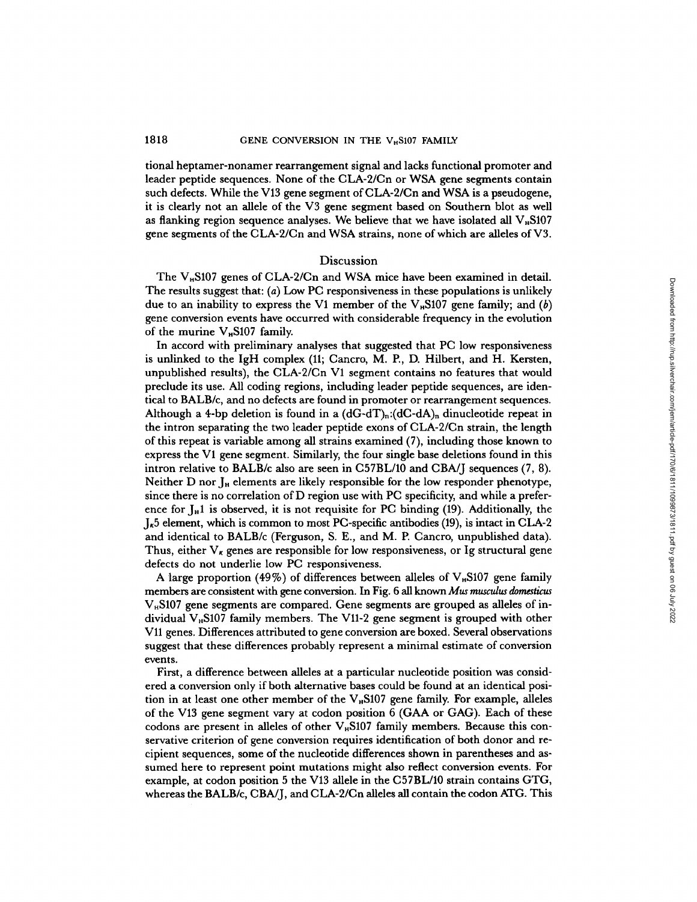tional heptamer-nonamer rearrangement signal and lacks functional promoter and leader peptide sequences. None of the CLA-2/Cn or WSA gene segments contain such defects. While the V13 gene segment of CLA-2/Cn and WSA is a pseudogene, it is clearly not an allele of the V3 gene segment based on Southern blot as well as flanking region sequence analyses. We believe that we have isolated all  $V_n$ S107 gene segments of the CLA-2/Cn and WSA strains, none of which are alleles of V3 .

#### Discussion

The  $V_H$ S107 genes of CLA-2/Cn and WSA mice have been examined in detail. The results suggest that: (a) Low PC responsiveness in these populations is unlikely due to an inability to express the V1 member of the  $V_nS107$  gene family; and  $(b)$ gene conversion events have occurred with considerable frequency in the evolution of the murine  $V_H S107$  family.

In accord with preliminary analyses that suggested that PC low responsiveness In accord with premiinary analyses that suggested that 10 fow responsiveness<br>is unlinked to the IgH complex (11; Cancro, M. P., D. Hilbert, and H. Kersten, unpublished results), the CLA-2/Cn Vl segment contains no features that would preclude its use. All coding regions, including leader peptide sequences, are identical to BALB/c, and no defects are found in promoter or rearrangement sequences. Although a 4-bp deletion is found in a  $(dG-dT)_n:(dC-dA)_n$  dinucleotide repeat in the intron separating the two leader peptide exons of CLA-2/Cn strain, the length of this repeat is variable among all strains examined (7), including those known to express the Vl gene segment. Similarly, the four single base deletions found in this intron relative to BALB/c also are seen in C57BL/10 and CBA/J sequences (7, 8) . Neither D nor J<sub>H</sub> elements are likely responsible for the low responder phenotype, since there is no correlation of D region use with PC specificity, and while a preference for  $I_H$ 1 is observed, it is not requisite for PC binding (19). Additionally, the  $J_{\kappa}$ 5 element, which is common to most PC-specific antibodies (19), is intact in CLA-2 and identical to BALB/c (Ferguson, S. E., and M. P. Cancro, unpublished data). Thus, either  $V_{\kappa}$  genes are responsible for low responsiveness, or Ig structural gene defects do not underlie low PC responsiveness.

defects do not underlie low PC responsiveness.<br>A large proportion (49%) of differences between alleles of V<sub>H</sub>S107 gene family members are consistent with gene conversion. In Fig. 6 all known *Mus musculus domesticus*  $V<sub>II</sub>ST07$  gene segments are compared. Gene segments are grouped as alleles of individual  $V<sub>H</sub>$ S107 family members. The V11-2 gene segment is grouped with other V11 genes. Differences attributed to gene conversion are boxed. Several observations suggest that these differences probably represent a minimal estimate of conversion events.

First, a difference between alleles at a particular nucleotide position was considered a conversion only if both alternative bases could be found at an identical position in at least one other member of the  $V<sub>H</sub>$ S107 gene family. For example, alleles of the V13 gene segment vary at codon position <sup>6</sup> (GAA or GAG). Each of these codons are present in alleles of other V<sub><sup>H</sub>S107</sup> family members. Because this con-</sub> servative criterion of gene conversion requires identification of both donor and recipient sequences, some of the nucleotide differences shown in parentheses and assumed here to represent point mutations might also reflect conversion events . For example, at codon position 5 the V13 allele in the C57BL/10 strain contains GTG, whereas the BALB/c, CBA/J, and CLA-2/Cn alleles all contain the codon ATG. This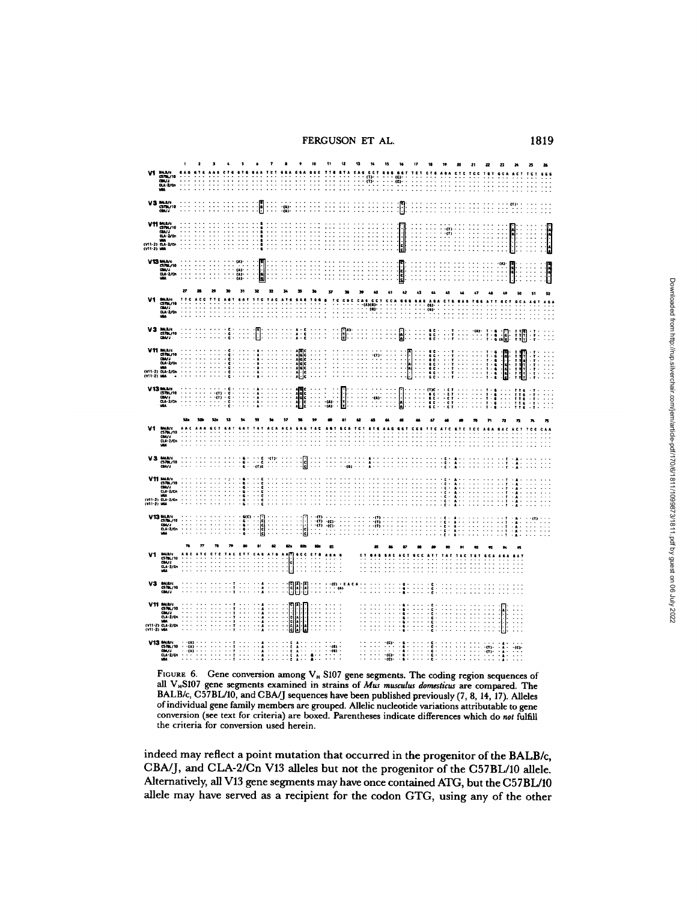FERGUSON ET AL. 1819

|    | BALB/c<br>CS7BL/10<br>CBA/J<br>CLA-2/Cn<br>WBA                                                                                                                                                                                                       |                                           |                              |                |                                  |               |                           |                              |                                                             |                |                                                                                                                          |                     |           |                                       |                                          | œ             |                                                              |                                                |                            |                      |                                               |                                                                                                        |                       |                  |               |
|----|------------------------------------------------------------------------------------------------------------------------------------------------------------------------------------------------------------------------------------------------------|-------------------------------------------|------------------------------|----------------|----------------------------------|---------------|---------------------------|------------------------------|-------------------------------------------------------------|----------------|--------------------------------------------------------------------------------------------------------------------------|---------------------|-----------|---------------------------------------|------------------------------------------|---------------|--------------------------------------------------------------|------------------------------------------------|----------------------------|----------------------|-----------------------------------------------|--------------------------------------------------------------------------------------------------------|-----------------------|------------------|---------------|
|    | V3 MAR/C<br>GMV/10                                                                                                                                                                                                                                   |                                           |                              |                |                                  | ŀ             |                           | $\frac{1}{2}$                |                                                             |                |                                                                                                                          |                     |           |                                       |                                          | Ŋ             |                                                              |                                                |                            |                      |                                               |                                                                                                        |                       |                  |               |
|    | <b>V11</b> BALB/C<br>CIRVIO<br>CIRVIO<br>CIRVIO<br>CV11-2) LGA-2/Cn<br>CV11-2) LGA-2/Cn                                                                                                                                                              |                                           |                              |                |                                  |               |                           |                              |                                                             |                |                                                                                                                          |                     |           |                                       |                                          |               |                                                              |                                                | $\frac{1}{\pi}$<br>H<br>k. |                      |                                               |                                                                                                        | İ                     |                  | $\frac{1}{2}$ |
|    | $V13 \frac{\text{m.u.c}}{\text{cm.u.}}$                                                                                                                                                                                                              |                                           |                              |                | (A)<br>$\frac{1}{\alpha}$<br>ea» | $\frac{1}{2}$ |                           |                              |                                                             |                |                                                                                                                          |                     |           |                                       |                                          | <b>Lennin</b> |                                                              |                                                |                            |                      |                                               | $\omega$<br>÷                                                                                          | $\frac{1}{2}$         |                  | h             |
|    |                                                                                                                                                                                                                                                      | 27                                        |                              |                | ы                                |               |                           |                              |                                                             |                |                                                                                                                          |                     |           |                                       |                                          |               |                                                              |                                                |                            |                      |                                               |                                                                                                        |                       |                  |               |
|    | <b>BALR/C<br/>CS78L/10<br/>CLA-2/Cn<br/>WA</b>                                                                                                                                                                                                       |                                           |                              |                |                                  |               |                           |                              |                                                             |                |                                                                                                                          |                     |           | e e<br>(3)                            |                                          |               |                                                              | $\overset{(6)}{\overset{(6)}{\phantom{.}}\!}}$ |                            |                      |                                               |                                                                                                        |                       |                  |               |
|    | $\begin{array}{r}\n\text{VA} & \text{MAUC} \\ \text{A} & \text{A} \\ \text{A} & \text{A} \\ \text{A} & \text{A} \\ \text{A} & \text{A} \\ \end{array}$                                                                                               |                                           |                              | ċ              |                                  |               | $\ddot{\phantom{a}}$<br>÷ |                              | $\frac{1}{6}$                                               | ÷.             |                                                                                                                          | ŀ.                  |           |                                       |                                          | β             |                                                              |                                                |                            | -(A)-                | ĭ<br>$\frac{1}{2}$                            |                                                                                                        | I<br>澗                |                  | $\mathbb{S}$  |
|    | $\begin{array}{r} \textbf{V11} \text{ m.u.} \\ \textbf{S781/10} \\ \textbf{G10/3} \\ \textbf{G14-2/dn} \\ \textbf{G14-2/dn} \\ \textbf{V11-2)} \text{ G14-2/dn} \\ \textbf{V11-2)} \text{ G14-2/dn} \\ \textbf{V11-2)} \text{ G14-2/dn} \end{array}$ |                                           |                              |                |                                  |               |                           |                              | $A 6 C C$ $A 6 C C$ $A 6 C C$ $A 6 C C$ $A 6 C C$ $A 6 C C$ |                |                                                                                                                          |                     |           | ٠m<br>T:<br>÷<br>$\ddot{\phantom{a}}$ |                                          |               | E                                                            | $\ddot{\phantom{0}}$<br>٠                      | $\ddot{\phantom{0}}$       |                      | ø<br>$T - 6$<br>$T - 6$<br>$T - 6$<br>$T - 6$ | <b>Electric</b>                                                                                        |                       | $\ddot{.}$<br>÷÷ |               |
|    | $V13 \frac{\text{m} \cdot \text{m} \cdot \text{m}}{\text{cm} \times \text{m}}$<br>$\frac{\text{cm} \times \text{m}}{\text{cm} \times \text{m}}$                                                                                                      |                                           | $-0.13$<br>J.<br>$\cdot$ (1) | $\overline{a}$ |                                  | $\Delta$      | $\sim$ $\sim$             | t<br>$\bullet$               | i                                                           |                | t<br>$-0.1$<br>$\overline{u}$                                                                                            | $\ddot{\cdot}$<br>ļ | $\ddotsc$ | $\ddot{\cdot}$<br>$\cdots$<br>$-0.1$  | $\ddot{\cdot}$<br>$\ddot{\phantom{a}}$ : | l             | $\ddot{\phantom{a}}$<br>$\ddot{\phantom{0}}$ :<br>$\epsilon$ | H                                              | $\ddot{\phantom{0}}$       |                      | å<br>ø                                        | $\ddot{\phantom{0}}$<br>÷<br>$\ddot{\phantom{a}}$                                                      | !!!<br>!!!<br>!!!     |                  |               |
| ۷t |                                                                                                                                                                                                                                                      |                                           |                              |                |                                  |               |                           |                              |                                                             |                |                                                                                                                          |                     |           |                                       |                                          |               |                                                              |                                                |                            |                      |                                               |                                                                                                        |                       |                  |               |
|    | <b>BALS/c<br/>CS7BL/10<br/>CBA/d<br/>CLA-2/Cn<br/>WBA</b>                                                                                                                                                                                            |                                           |                              |                |                                  |               |                           |                              |                                                             |                |                                                                                                                          |                     |           |                                       |                                          |               |                                                              |                                                |                            |                      |                                               |                                                                                                        |                       |                  |               |
|    | $V3$ MAR/ $\frac{c578}{c578}$ /10                                                                                                                                                                                                                    |                                           |                              |                |                                  |               |                           |                              | s                                                           |                |                                                                                                                          |                     |           |                                       |                                          |               |                                                              |                                                |                            |                      |                                               |                                                                                                        |                       |                  |               |
|    | V11 MAR/c<br>CS78L/10<br>CLA/J<br>CA2/Cn<br>WIA<br>(V11-2) WA                                                                                                                                                                                        |                                           |                              |                |                                  |               |                           |                              |                                                             |                |                                                                                                                          |                     |           |                                       |                                          |               |                                                              |                                                |                            |                      |                                               |                                                                                                        |                       |                  |               |
|    | $\begin{array}{r}\n\text{V13} \text{ BMLD/c} \\ \text{C3/BL/10} \\ \text{C3/BL/10} \\ \text{C3A-2/En} \\ \text{MA}\n\end{array}$                                                                                                                     |                                           |                              |                | 4001<br>٠                        | ic<br>Iclean  |                           |                              |                                                             |                | $\begin{bmatrix} 0 \\ 0 \end{bmatrix}$                                                                                   |                     |           | $_{\rm (1)}$<br>÷öi<br>: "            |                                          |               |                                                              |                                                |                            |                      |                                               | л                                                                                                      | $\cdot$<br>H          | $-112$<br>W      |               |
|    |                                                                                                                                                                                                                                                      |                                           |                              |                |                                  |               |                           |                              |                                                             |                |                                                                                                                          |                     |           |                                       |                                          |               |                                                              |                                                |                            |                      |                                               |                                                                                                        |                       |                  |               |
| V1 | BALB/c<br>CS7BL/10<br>CBA/J<br>CLA-2/Cn<br>WBA                                                                                                                                                                                                       |                                           |                              |                |                                  |               | ×                         | ۱.<br>ا<br>$\cdot$           | e e<br>í<br>$\overline{a}$                                  | J.             | .<br>$\ddot{\phantom{0}}$<br>$\ddotsc$                                                                                   |                     |           |                                       |                                          |               |                                                              |                                                |                            |                      |                                               |                                                                                                        |                       |                  |               |
|    | $V3$ BALB/c<br>CS7BL/10                                                                                                                                                                                                                              |                                           |                              |                |                                  |               |                           | E                            | F                                                           | $\cdot$        | œ<br>$\ddot{\cdot}$                                                                                                      | ုက                  |           |                                       |                                          |               |                                                              |                                                |                            |                      |                                               |                                                                                                        |                       |                  |               |
|    | V11 MAR/c<br>CBA/J<br>CA-2/Cn<br>CA-2/Cn<br>CV11-2) MA<br>CV11-2) MA                                                                                                                                                                                 |                                           |                              |                |                                  |               |                           |                              | ana.<br>Ba<br>$\overline{\phantom{a}}$                      |                | $\ddot{\phantom{1}}$<br>$\ddot{\phantom{0}}$                                                                             |                     |           |                                       |                                          |               |                                                              | ċ<br>å<br>÷.                                   |                            |                      |                                               |                                                                                                        | . .<br>$\ddot{\cdot}$ |                  |               |
|    | V13 BALR/c<br>CS78L/10<br>CLA-2/Cn<br>HEA                                                                                                                                                                                                            | - (A)<br>- (A)<br>$\overline{\mathbf{a}}$ |                              |                |                                  |               |                           | cono<br>$\ddot{\phantom{0}}$ | Â<br>$\mathbb{N}$                                           | $\mathbb{R}^2$ | $\begin{array}{c} \cdot \cdot \cdot \cdot \\ \cdot \cdot \cdot \cdot \cdot \\ \cdot \cdot \cdot \cdot \cdot \end{array}$ |                     | . .       |                                       | $\mathbf{C}$<br>-ces-<br>æ.              |               |                                                              | H<br>×                                         |                            | $\ddot{\phantom{a}}$ |                                               | $\begin{array}{c} \alpha_1,\ldots,\alpha_n\in\{0\}\\ \alpha_2,\ldots,\alpha_n\in\mathbb{C}\end{array}$ |                       |                  |               |

FIGURE 6. Gene conversion among  $V_H$  S107 gene segments. The coding region sequences of all  $V_H$ S107 gene segments examined in strains of *Mus musculus domesticus* are compared. The BALB/c, C57BL/10, and CBA/J sequences have been published previously (7, 8, 14, 17). Alleles of individual gene family members are grouped. Allelic nucleotide variations attributable to gene conversion (see text for criteria) are boxed. Parentheses indicate differences which do not fulfill the criteria for conversion used herein.

indeed may reflect a point mutation that occurred in the progenitor of the BALB/c, CBA/J, and CLA-2/Cn V13 alleles but not the progenitor of the C57BL/10 allele. Alternatively, all V13 gene segments mayhave once contained ATG, but the C57BL/10 allele may have served as a recipient for the codon GTG, using any of the other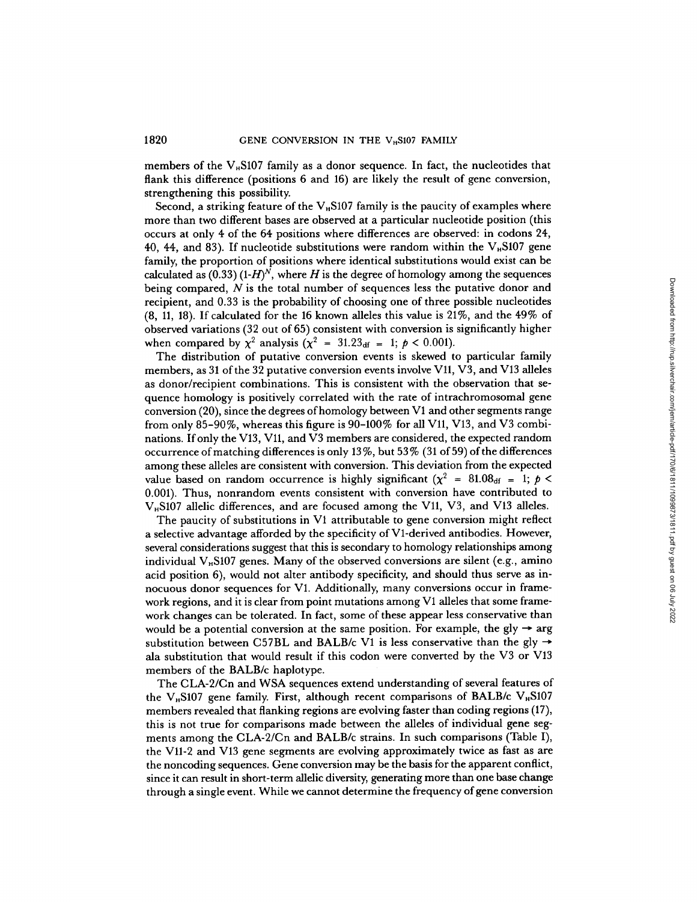members of the  $V_{\text{B}}$ S107 family as a donor sequence. In fact, the nucleotides that flank this difference (positions 6 and 16) are likely the result of gene conversion, strengthening this possibility.

Second, a striking feature of the  $V_{\mu}$ S107 family is the paucity of examples where more than two different bases are observed at a particular nucleotide position (this occurs at only 4 of the 64 positions where differences are observed: in codons 24, 40, 44, and 83). If nucleotide substitutions were random within the  $V<sub>H</sub>S107$  gene family, the proportion of positions where identical substitutions would exist can be calculated as  $(0.33)$   $(H)<sup>N</sup>$ , where H is the degree of homology among the sequences being compared, N is the total number of sequences less the putative donor and<br>being compared, N is the total number of sequences less the putative donor and recipient, and 0.33 is the probability of choosing one of three possible nucleotides (8, 11, 18). If calculated for the <sup>16</sup> known alleles this value is 21%, and the 49% of observed variations (32 out of 65) consistent with conversion is significantly higher when compared by  $\chi^2$  analysis ( $\chi^2 = 31.23_{df} = 1$ ;  $p < 0.001$ ).

The distribution of putative conversion events is skewed to particular family members, as 31 of the 32 putative conversion events involve V11, V3, and V13 alleles as donor/recipient combinations. This is consistent with the observation that sequence homology is positively correlated with the rate of intrachromosomal gene conversion (20), since the degrees of homology between Vl and other segments range from only 85-90%, whereas this figure is 90-100% for all V11, V13, and V3 combinations. If only the V13, V11, and V3 members are considered, the expected random occurrence of matching differences is only  $13\%$ , but  $53\%$  (31 of 59) of the differences among these alleles are consistent with conversion. This deviation from the expected value based on random occurrence is highly significant  $(\chi^2 = 81.08<sub>df</sub> = 1; p <$ 0.001). Thus, nonrandom events consistent with conversion have contributed to  $V_H S107$  allelic differences, and are focused among the V11, V3, and V13 alleles.

The paucity of substitutions in Vl attributable to gene conversion might reflect a selective advantage afforded by the specificity of V1-derived antibodies. However, several considerations suggest that this is secondary to homology relationships among individual  $V_H$ S107 genes. Many of the observed conversions are silent (e.g., amino acid position 6), would not alter antibody specificity, and should thus serve as innocuous donor sequences for Vl. Additionally, many conversions occur in framework regions, and it is clear from point mutations among Vl alleles that some framework changes can be tolerated. In fact, some of these appear less conservative than would be a potential conversion at the same position. For example, the gly  $\rightarrow$  arg<br>would be a potential conversion at the same position. For example, the gly  $\rightarrow$  arg substitution between C57BL and BALB/c V1 is less conservative than the gly  $\rightarrow$ ala substitution that would result if this codon were converted by the V3 or V13 members of the BALB/c haplotype.

The CLA-2/Cn and WSA sequences extend understanding of several features of the V<sub>H</sub>S107 gene family. First, although recent comparisons of BALB/c V<sub>H</sub>S107 members revealed that flanking regions are evolving faster than coding regions (17), this is not true for comparisons made between the alleles of individual gene segments among the CLA-2/Cn and BALB/c strains. In such comparisons (Table I), the V11-2 and V13 gene segments are evolving approximately twice as fast as are the noncoding sequences. Gene conversion maybe the basis for the apparent conflict, since it can result in short-term allelic diversity, generating more than one base change through asingle event. While we cannot determine the frequency of gene conversion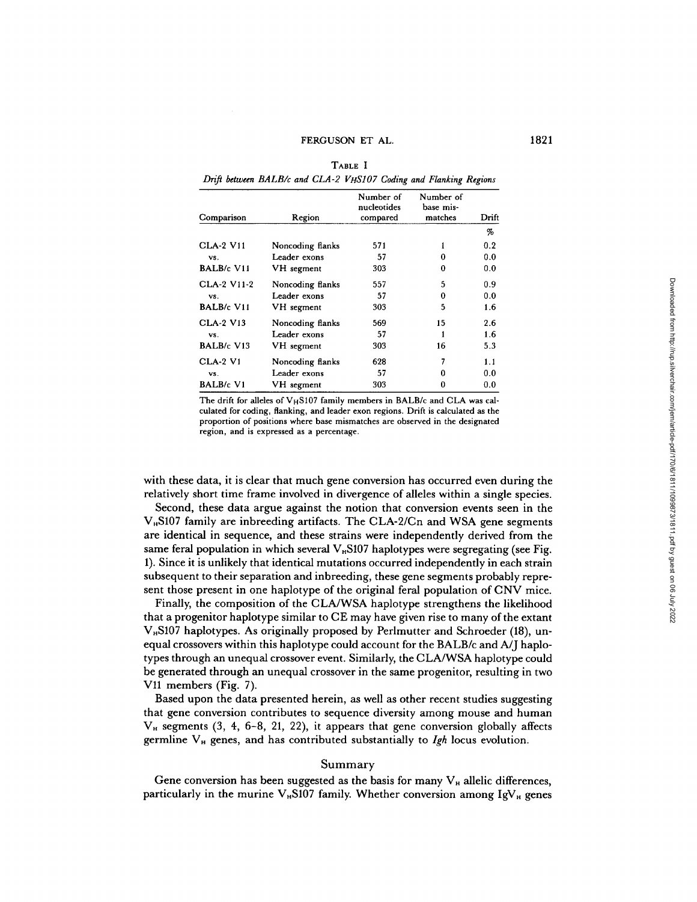TABLE I Drift between BALB/c and CLA-2 VHS107 Coding and Flanking Regions

| Comparison        | Region           | Number of<br>nucleotides<br>compared | Number of<br>base mis-<br>matches | Drift |
|-------------------|------------------|--------------------------------------|-----------------------------------|-------|
|                   |                  |                                      |                                   | %     |
| <b>CLA-2 V11</b>  | Noncoding flanks | 571                                  | 1                                 | 0.2   |
| VS.               | Leader exons     | 57                                   | 0                                 | 0.0   |
| BALB/c V11        | VH segment       | 303                                  | 0                                 | 0.0   |
| CLA-2 V11-2       | Noncoding flanks | 557                                  | 5                                 | 0.9   |
| VS.               | Leader exons     | 57                                   | 0                                 | 0.0   |
| <b>BALB/c V11</b> | VH segment       | 303                                  | 5                                 | 1.6   |
| <b>CLA-2 V13</b>  | Noncoding flanks | 569                                  | 15                                | 2.6   |
| VS.               | Leader exons     | 57                                   |                                   | 1.6   |
| BALB/c V13        | VH segment       | 303                                  | 16                                | 5.3   |
| <b>CLA-2 V1</b>   | Noncoding flanks | 628                                  | 7                                 | 1.1   |
| VS.               | Leader exons     | 57                                   | 0                                 | 0.0   |
| <b>BALB/c V1</b>  | VH segment       | 303                                  | 0                                 | 0.0   |

The drift for alleles of VHS107 family members in BALB/c and CLA was calculated for coding, flanking, and leader exon regions . Drift is calculated as the proportion of positions where base mismatches are observed in the designated region, and is expressed as a percentage .

with these data, it is clear that much gene conversion has occurred even during the relatively short time frame involved in divergence of alleles within a single species.

Second, these data argue against the notion that conversion events seen in the  $V<sub>n</sub>$ S107 family are inbreeding artifacts. The CLA-2/Cn and WSA gene segments are identical in sequence, and these strains were independently derived from the same feral population in which several  $V_n$ S107 haplotypes were segregating (see Fig. 1) . Since it is unlikely that identical mutations occurred independently in each strain subsequent to their separation and inbreeding, these gene segments probably represent those present in one haplotype of the original feral population of CNV mice.

Finally, the composition of the CLA/WSA haplotype strengthens the likelihood that <sup>a</sup> progenitor haplotype similar to CE may have given rise to many of the extant  $V<sub>n</sub>$ S107 haplotypes. As originally proposed by Perlmutter and Schroeder (18), unequal crossovers within this haplotype could account for the BALB/c and A/J haplotypes through an unequal crossover event. Similarly, the CLA/WSA haplotype could be generated through an unequal crossover in the same progenitor, resulting in two  $V11$  members (Fig. 7).

Based upon the data presented herein, as well as other recent studies suggesting that gene conversion contributes to sequence diversity among mouse and human  $V_H$  segments (3, 4, 6-8, 21, 22), it appears that gene conversion globally affects germline  $V_H$  genes, and has contributed substantially to  $Igh$  locus evolution.

#### Summary

Gene conversion has been suggested as the basis for many  $V_H$  allelic differences, particularly in the murine  $V_{H}S107$  family. Whether conversion among IgV<sub>H</sub> genes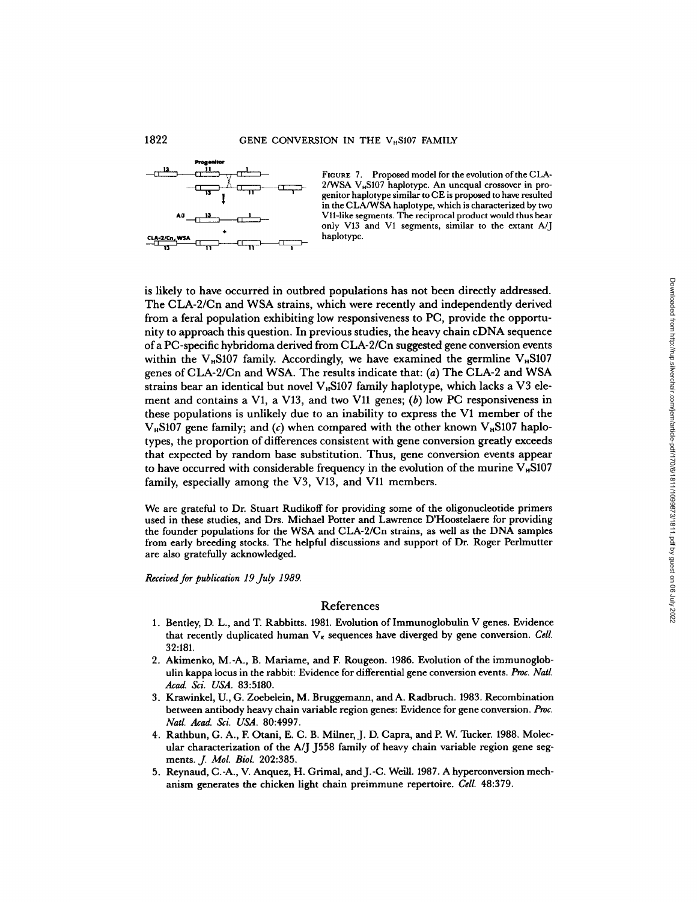

FIGURE 7. Proposed model for the evolution of the CLA- $2/WSA$  V<sub>H</sub>S107 haplotype. An unequal crossover in progenitor haplotype similar to CE is proposed to have resulted in the CLA/WSA haplotype, which is characterized by two V11-like segments. The reciprocal product would thus bear only V13 and VI segments, similar to the extant A/J haplotype.

is likely to have occurred in outbred populations has not been directly addressed . The CLA-2/Cn and WSA strains, which were recently and independently derived from a feral population exhibiting low responsiveness to PC, provide the opportunity to approach this question. In previous studies, the heavy chain cDNA sequence of <sup>a</sup> PC-specific hybridoma derived from CLA-2/Cn suggested gene conversion events within the  $V_{\mu}$ S107 family. Accordingly, we have examined the germline  $V_{\mu}$ S107 genes of CLA-2/Cn and WSA. The results indicate that: (a) The CLA-2 and WSA strains bear an identical but novel  $V_{\mu}$ S107 family haplotype, which lacks a V3 element and contains a V1, a V13, and two V11 genes;  $(b)$  low PC responsiveness in these populations is unlikely due to an inability to express the V1 member of the V<sub>B</sub>S107 gene family; and (c) when compared with the other known V<sub>B</sub>S107 haplotypes, the proportion of differences consistent with gene conversion greatly exceeds that expected by random base substitution . Thus, gene conversion events appear to have occurred with considerable frequency in the evolution of the murine  $V_{\mu}S107$ family, especially among the V3, V13, and V11 members. ely to have oscurred in outbred populations has not been directly and independently derived<br>in a first proposite the chicken line previous studies, the heavy chain cDNA sequence<br>of the chicken light chain previous studies,

We are grateful to Dr. Stuart Rudikoff for providing some of the oligonucleotide primers used in these studies, and Drs. Michael Potter and Lawrence D'Hoostelaere for providing the founder populations for the WSA and CLA-2/Cn strains, as well as the DNA samples from early breeding stocks . The helpful discussions and support of Dr. Roger Perlmutter are also gratefully acknowledged.

Received for publication 19 July 1989.

#### References

- 1. Bentley, D. L., and T. Rabbitts. 1981. Evolution of Immunoglobulin V genes. Evidence that recently duplicated human  $V_k$  sequences have diverged by gene conversion. Cell. 32:181.
- 2. Akimenko, M.-A., B. Mariame, and F. Rougeon. 1986. Evolution of the immunoglobulin kappa locus in the rabbit: Evidence for differential gene conversion events. Proc. Natl. Acad. Sci. USA. 83:5180.
- 3. Krawinkel, U., G. Zoebelein, M. Bruggemann, and A. Radbruch. 1983. Recombination between antibody heavy chain variable region genes: Evidence for gene conversion. Proc. Natl. Acad. Sci. USA. 80:4997.
- Frank Theat. Str. Och. 80.1557.<br>4. Rathbun, G. A., F. Otani, E. C. B. Milner, J. D. Capra, and P. W. Tucker. 1988. Molec-<br>1. Plan observation in the A. I. 1559 family of bosys chain unright persion gave any ular characterization of the A/J J558 family of heavy chain variable region gene seg-<br>ments.  $J.$  Mol. Biol. 202:385.
- 5. Reynaud, C.-A., V. Anquez, H. Grimal, and J.-C. Weill. 1987. A hyperconversion mechanism generates the chicken light chain preimmune repertoire. Cell. 48:379.